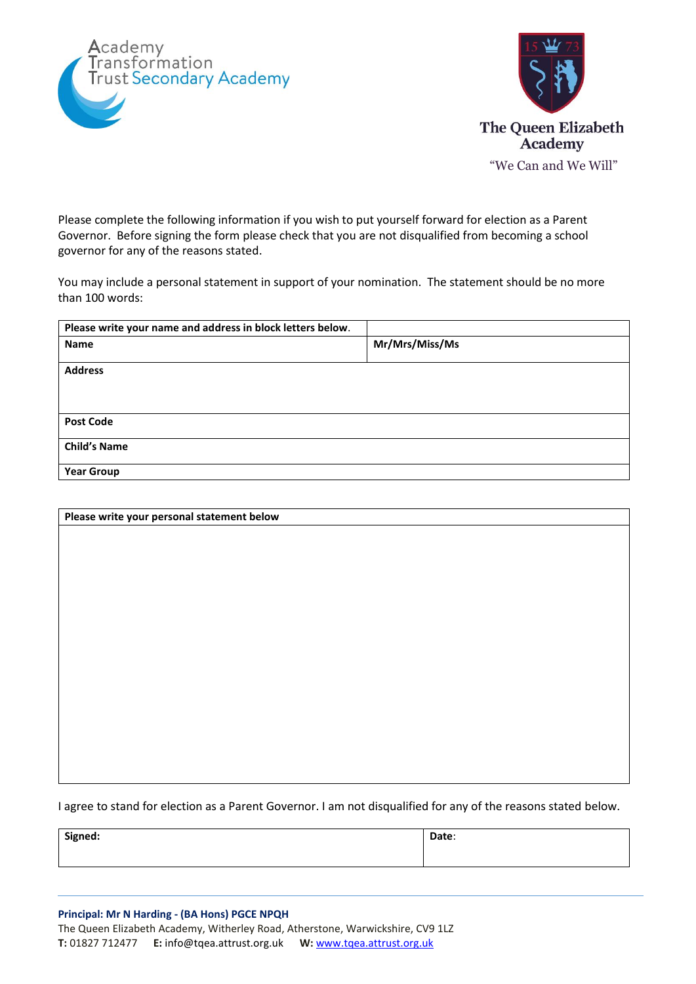



Please complete the following information if you wish to put yourself forward for election as a Parent Governor. Before signing the form please check that you are not disqualified from becoming a school governor for any of the reasons stated.

You may include a personal statement in support of your nomination. The statement should be no more than 100 words:

| Please write your name and address in block letters below. |                |
|------------------------------------------------------------|----------------|
| <b>Name</b>                                                | Mr/Mrs/Miss/Ms |
| <b>Address</b>                                             |                |
| <b>Post Code</b>                                           |                |
| <b>Child's Name</b>                                        |                |
| <b>Year Group</b>                                          |                |

| Please write your personal statement below |  |
|--------------------------------------------|--|
|                                            |  |
|                                            |  |
|                                            |  |
|                                            |  |
|                                            |  |
|                                            |  |
|                                            |  |
|                                            |  |
|                                            |  |
|                                            |  |
|                                            |  |
|                                            |  |
|                                            |  |
|                                            |  |
|                                            |  |
|                                            |  |

I agree to stand for election as a Parent Governor. I am not disqualified for any of the reasons stated below.

| Signed: | Date: |
|---------|-------|
|         |       |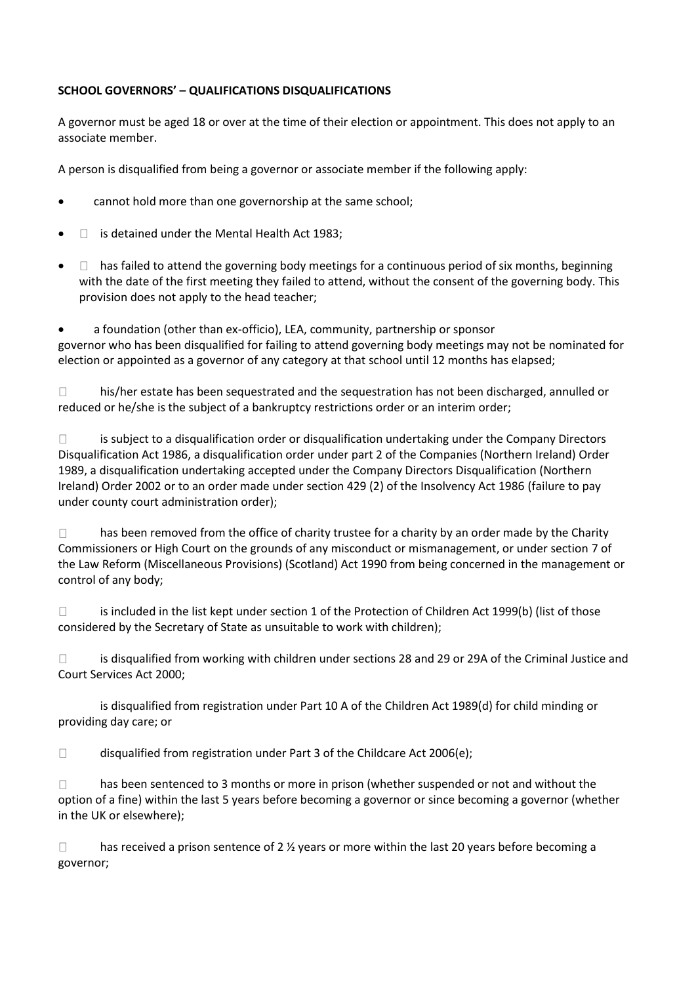## **SCHOOL GOVERNORS' – QUALIFICATIONS DISQUALIFICATIONS**

A governor must be aged 18 or over at the time of their election or appointment. This does not apply to an associate member.

A person is disqualified from being a governor or associate member if the following apply:

- cannot hold more than one governorship at the same school;
- $\Box$  is detained under the Mental Health Act 1983:
- $\Box$  has failed to attend the governing body meetings for a continuous period of six months, beginning with the date of the first meeting they failed to attend, without the consent of the governing body. This provision does not apply to the head teacher;

a foundation (other than ex-officio), LEA, community, partnership or sponsor governor who has been disqualified for failing to attend governing body meetings may not be nominated for election or appointed as a governor of any category at that school until 12 months has elapsed;

 $\Box$ his/her estate has been sequestrated and the sequestration has not been discharged, annulled or reduced or he/she is the subject of a bankruptcy restrictions order or an interim order;

 $\Box$ is subject to a disqualification order or disqualification undertaking under the Company Directors Disqualification Act 1986, a disqualification order under part 2 of the Companies (Northern Ireland) Order 1989, a disqualification undertaking accepted under the Company Directors Disqualification (Northern Ireland) Order 2002 or to an order made under section 429 (2) of the Insolvency Act 1986 (failure to pay under county court administration order);

has been removed from the office of charity trustee for a charity by an order made by the Charity  $\Box$ Commissioners or High Court on the grounds of any misconduct or mismanagement, or under section 7 of the Law Reform (Miscellaneous Provisions) (Scotland) Act 1990 from being concerned in the management or control of any body;

 $\Box$ is included in the list kept under section 1 of the Protection of Children Act 1999(b) (list of those considered by the Secretary of State as unsuitable to work with children);

 $\Box$ is disqualified from working with children under sections 28 and 29 or 29A of the Criminal Justice and Court Services Act 2000;

is disqualified from registration under Part 10 A of the Children Act 1989(d) for child minding or providing day care; or

 $\Box$ disqualified from registration under Part 3 of the Childcare Act 2006(e);

 $\Box$ has been sentenced to 3 months or more in prison (whether suspended or not and without the option of a fine) within the last 5 years before becoming a governor or since becoming a governor (whether in the UK or elsewhere);

 $\Box$ has received a prison sentence of 2  $\frac{1}{2}$  years or more within the last 20 years before becoming a governor;